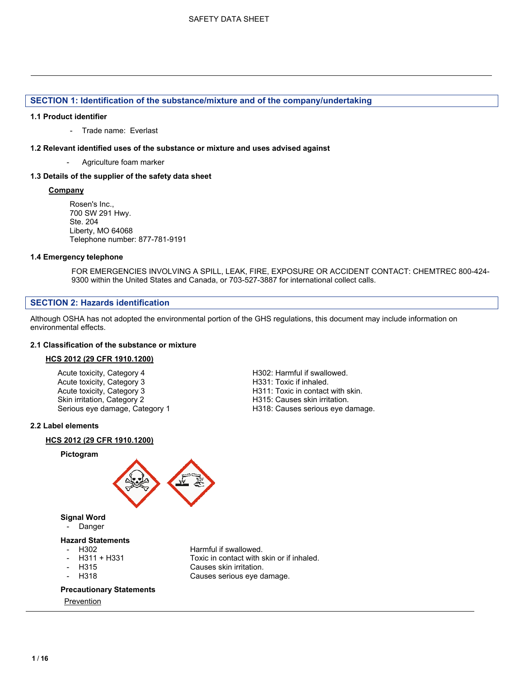# **SECTION 1: Identification of the substance/mixture and of the company/undertaking**

#### **1.1 Product identifier**

- Trade name: Everlast

#### **1.2 Relevant identified uses of the substance or mixture and uses advised against**

Agriculture foam marker

# **1.3 Details of the supplier of the safety data sheet**

# **Company**

Rosen's Inc., 700 SW 291 Hwy. Ste. 204 Liberty, MO 64068 Telephone number: 877-781-9191

# **1.4 Emergency telephone**

FOR EMERGENCIES INVOLVING A SPILL, LEAK, FIRE, EXPOSURE OR ACCIDENT CONTACT: CHEMTREC 800-424- 9300 within the United States and Canada, or 703-527-3887 for international collect calls.

H318: Causes serious eye damage.

# **SECTION 2: Hazards identification**

Although OSHA has not adopted the environmental portion of the GHS regulations, this document may include information on environmental effects.

# **2.1 Classification of the substance or mixture**

### **HCS 2012 (29 CFR 1910.1200)**

Acute toxicity, Category 4 **Acute toxicity, Category 4** H302: Harmful if swallowed.<br>Acute toxicity, Category 3 Acute 1931: Toxic if inhaled. Acute toxicity, Category 3<br>Acute toxicity, Category 3 Acute toxicity, Category 3 **H311: Toxic in contact with skin.**<br>
Skin irritation, Category 2 **H315: Causes skin irritation**. Skin irritation, Category 2 **H315: Causes skin irritation.**<br>
Serious eye damage, Category 1 **H318: Causes serious eye damage, Category 1** H318: Causes serious eye da

### **2.2 Label elements**

### **HCS 2012 (29 CFR 1910.1200)**

### **Pictogram**



# **Signal Word**

**Danger** 

# **Hazard Statements**

- 
- 
- 
- 

#### Harmful if swallowed. - H311 + H331 Toxic in contact with skin or if inhaled. H315 Causes skin irritation. H318 Causes serious eye damage.

# **Precautionary Statements**

Prevention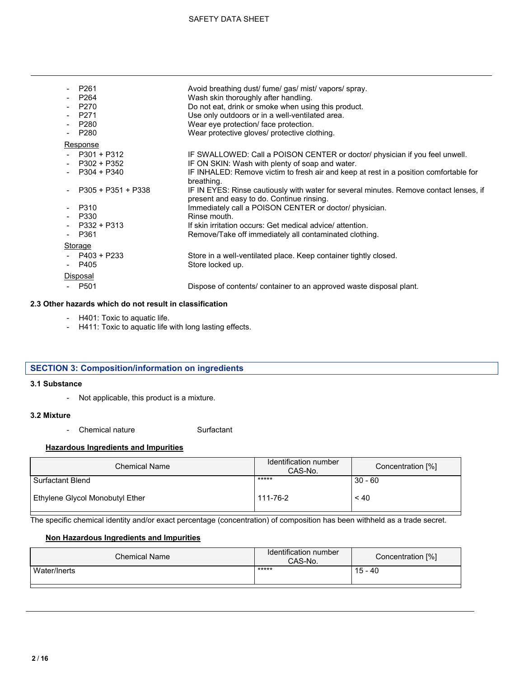| P261<br>P264<br>P270<br>P271<br>P280<br>$-$ P280                                                                               | Avoid breathing dust/ fume/ gas/ mist/ vapors/ spray.<br>Wash skin thoroughly after handling.<br>Do not eat, drink or smoke when using this product.<br>Use only outdoors or in a well-ventilated area.<br>Wear eye protection/ face protection.<br>Wear protective gloves/ protective clothing.                                                                                                                                                                                                                                                                             |
|--------------------------------------------------------------------------------------------------------------------------------|------------------------------------------------------------------------------------------------------------------------------------------------------------------------------------------------------------------------------------------------------------------------------------------------------------------------------------------------------------------------------------------------------------------------------------------------------------------------------------------------------------------------------------------------------------------------------|
| Response                                                                                                                       |                                                                                                                                                                                                                                                                                                                                                                                                                                                                                                                                                                              |
| $-$ P301 + P312<br>$-$ P302 + P352<br>$-$ P304 + P340<br>P305 + P351 + P338<br>- P310<br>$-$ P330<br>$-$ P332 + P313<br>- P361 | IF SWALLOWED: Call a POISON CENTER or doctor/ physician if you feel unwell.<br>IF ON SKIN: Wash with plenty of soap and water.<br>IF INHALED: Remove victim to fresh air and keep at rest in a position comfortable for<br>breathing.<br>IF IN EYES: Rinse cautiously with water for several minutes. Remove contact lenses, if<br>present and easy to do. Continue rinsing.<br>Immediately call a POISON CENTER or doctor/ physician.<br>Rinse mouth.<br>If skin irritation occurs: Get medical advice/attention.<br>Remove/Take off immediately all contaminated clothing. |
| <b>Storage</b>                                                                                                                 |                                                                                                                                                                                                                                                                                                                                                                                                                                                                                                                                                                              |
| $-$ P403 + P233<br>- P405                                                                                                      | Store in a well-ventilated place. Keep container tightly closed.<br>Store locked up.                                                                                                                                                                                                                                                                                                                                                                                                                                                                                         |
| Disposal                                                                                                                       |                                                                                                                                                                                                                                                                                                                                                                                                                                                                                                                                                                              |
| - P501                                                                                                                         | Dispose of contents/ container to an approved waste disposal plant.                                                                                                                                                                                                                                                                                                                                                                                                                                                                                                          |

# **2.3 Other hazards which do not result in classification**

- H401: Toxic to aquatic life.
- H411: Toxic to aquatic life with long lasting effects.

# **SECTION 3: Composition/information on ingredients**

#### **3.1 Substance**

- Not applicable, this product is a mixture.

#### **3.2 Mixture**

- Chemical nature **Surfactant** 

# **Hazardous Ingredients and Impurities**

| <b>Chemical Name</b>            | Identification number<br>CAS-No. | Concentration [%] |
|---------------------------------|----------------------------------|-------------------|
| <b>Surfactant Blend</b>         | *****                            | $30 - 60$         |
| Ethylene Glycol Monobutyl Ether | 111-76-2                         | ~10               |

┑

The specific chemical identity and/or exact percentage (concentration) of composition has been withheld as a trade secret.

# **Non Hazardous Ingredients and Impurities**

| <b>Chemical Name</b> | Identification number<br>CAS-No. | Concentration [%] |
|----------------------|----------------------------------|-------------------|
| Water/Inerts         | *****                            | 15 - 40           |
|                      |                                  |                   |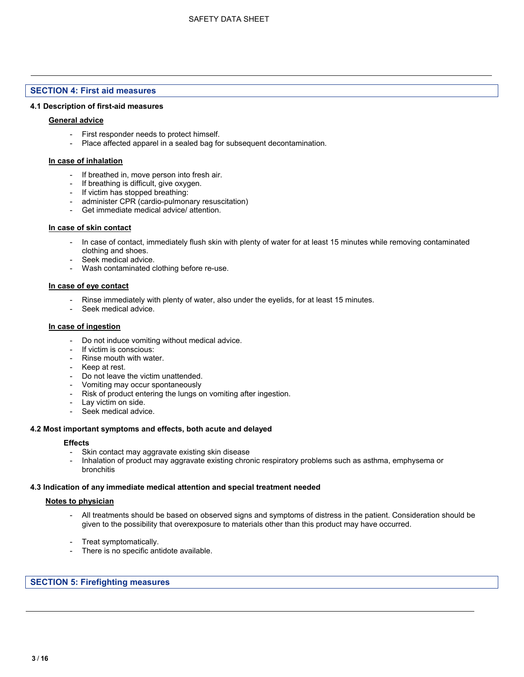#### **SECTION 4: First aid measures**

#### **4.1 Description of first-aid measures**

### **General advice**

- First responder needs to protect himself.
- Place affected apparel in a sealed bag for subsequent decontamination.

#### **In case of inhalation**

- If breathed in, move person into fresh air.
- If breathing is difficult, give oxygen.
- If victim has stopped breathing:
- administer CPR (cardio-pulmonary resuscitation)
- Get immediate medical advice/ attention.

#### **In case of skin contact**

- In case of contact, immediately flush skin with plenty of water for at least 15 minutes while removing contaminated clothing and shoes.
- Seek medical advice.
- Wash contaminated clothing before re-use.

#### **In case of eye contact**

- Rinse immediately with plenty of water, also under the eyelids, for at least 15 minutes.
- Seek medical advice.

#### **In case of ingestion**

- Do not induce vomiting without medical advice.
- If victim is conscious:
- Rinse mouth with water.
- Keep at rest.
- Do not leave the victim unattended.
- Vomiting may occur spontaneously
- Risk of product entering the lungs on vomiting after ingestion.
- Lay victim on side.
- Seek medical advice.

#### **4.2 Most important symptoms and effects, both acute and delayed**

#### **Effects**

- Skin contact may aggravate existing skin disease
- Inhalation of product may aggravate existing chronic respiratory problems such as asthma, emphysema or bronchitis

#### **4.3 Indication of any immediate medical attention and special treatment needed**

#### **Notes to physician**

- All treatments should be based on observed signs and symptoms of distress in the patient. Consideration should be given to the possibility that overexposure to materials other than this product may have occurred.
- Treat symptomatically.
- There is no specific antidote available.

#### **SECTION 5: Firefighting measures**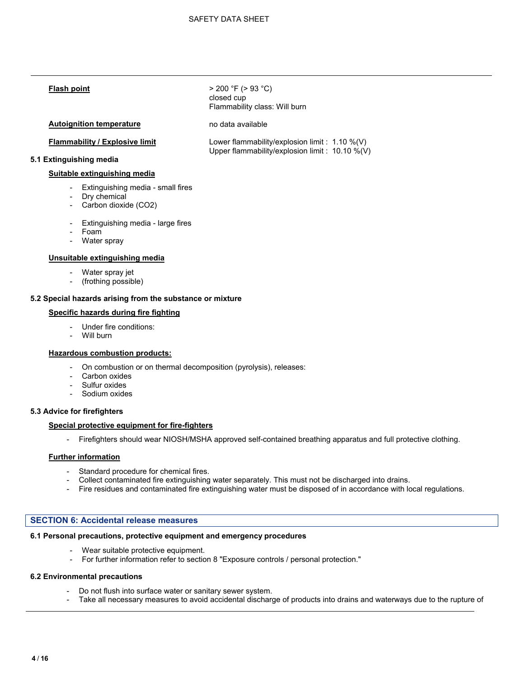**Flash point** > 200 °F (> 93 °C) closed cup Flammability class: Will burn

#### **Autoignition temperature** no data available

**Flammability / Explosive limit** Lower flammability/explosion limit : 1.10 %(V) Upper flammability/explosion limit : 10.10 %(V)

# **5.1 Extinguishing media**

#### **Suitable extinguishing media**

- Extinguishing media small fires
- Dry chemical
- Carbon dioxide (CO2)
- Extinguishing media large fires
- Foam
- Water spray

#### **Unsuitable extinguishing media**

- Water spray jet
- (frothing possible)

#### **5.2 Special hazards arising from the substance or mixture**

#### **Specific hazards during fire fighting**

- Under fire conditions:
- Will burn

#### **Hazardous combustion products:**

- On combustion or on thermal decomposition (pyrolysis), releases:
- Carbon oxides
- Sulfur oxides
- Sodium oxides

#### **5.3 Advice for firefighters**

#### **Special protective equipment for fire-fighters**

- Firefighters should wear NIOSH/MSHA approved self-contained breathing apparatus and full protective clothing.

#### **Further information**

- Standard procedure for chemical fires.
- Collect contaminated fire extinguishing water separately. This must not be discharged into drains.
- Fire residues and contaminated fire extinguishing water must be disposed of in accordance with local regulations.

#### **SECTION 6: Accidental release measures**

# **6.1 Personal precautions, protective equipment and emergency procedures**

- Wear suitable protective equipment.
- For further information refer to section 8 "Exposure controls / personal protection."

# **6.2 Environmental precautions**

- Do not flush into surface water or sanitary sewer system.
- Take all necessary measures to avoid accidental discharge of products into drains and waterways due to the rupture of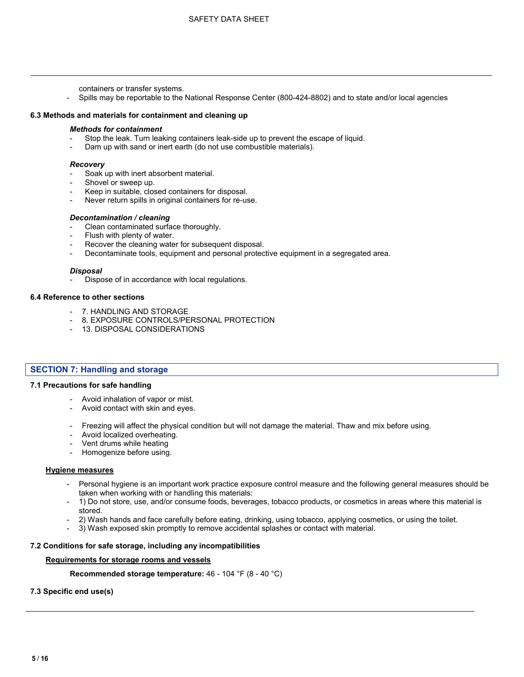containers or transfer systems.

- Spills may be reportable to the National Response Center (800-424-8802) and to state and/or local agencies

#### **6.3 Methods and materials for containment and cleaning up**

#### *Methods for containment*

- Stop the leak. Turn leaking containers leak-side up to prevent the escape of liquid.
- Dam up with sand or inert earth (do not use combustible materials).

#### *Recovery*

- Soak up with inert absorbent material.
- Shovel or sweep up.
- Keep in suitable, closed containers for disposal.
- Never return spills in original containers for re-use.

#### *Decontamination / cleaning*

- Clean contaminated surface thoroughly.
- Flush with plenty of water.
- Recover the cleaning water for subsequent disposal.
- Decontaminate tools, equipment and personal protective equipment in a segregated area.

#### *Disposal*

Dispose of in accordance with local regulations.

#### **6.4 Reference to other sections**

- 7. HANDLING AND STORAGE
- 8. EXPOSURE CONTROLS/PERSONAL PROTECTION
- 13. DISPOSAL CONSIDERATIONS

#### **SECTION 7: Handling and storage**

#### **7.1 Precautions for safe handling**

- Avoid inhalation of vapor or mist.
- Avoid contact with skin and eyes.
- Freezing will affect the physical condition but will not damage the material. Thaw and mix before using.
- Avoid localized overheating.
- Vent drums while heating
- Homogenize before using.

#### **Hygiene measures**

- Personal hygiene is an important work practice exposure control measure and the following general measures should be taken when working with or handling this materials:
- 1) Do not store, use, and/or consume foods, beverages, tobacco products, or cosmetics in areas where this material is stored.
- 2) Wash hands and face carefully before eating, drinking, using tobacco, applying cosmetics, or using the toilet.
- 3) Wash exposed skin promptly to remove accidental splashes or contact with material.

#### **7.2 Conditions for safe storage, including any incompatibilities**

#### **Requirements for storage rooms and vessels**

**Recommended storage temperature:** 46 - 104 °F (8 - 40 °C)

**7.3 Specific end use(s)**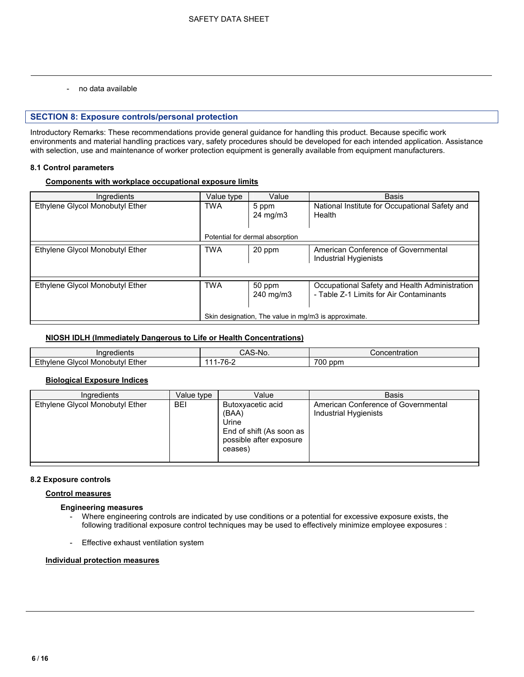- no data available

#### **SECTION 8: Exposure controls/personal protection**

Introductory Remarks: These recommendations provide general guidance for handling this product. Because specific work environments and material handling practices vary, safety procedures should be developed for each intended application. Assistance with selection, use and maintenance of worker protection equipment is generally available from equipment manufacturers.

#### **8.1 Control parameters**

#### **Components with workplace occupational exposure limits**

| Ingredients                     | Value type | Value                                                | <b>Basis</b>                                                                             |
|---------------------------------|------------|------------------------------------------------------|------------------------------------------------------------------------------------------|
| Ethylene Glycol Monobutyl Ether | <b>TWA</b> | 5 ppm                                                | National Institute for Occupational Safety and                                           |
|                                 |            | $24 \text{ mg/m}$                                    | Health                                                                                   |
|                                 |            | Potential for dermal absorption                      |                                                                                          |
| Ethylene Glycol Monobutyl Ether | <b>TWA</b> | 20 ppm                                               | American Conference of Governmental<br>Industrial Hygienists                             |
|                                 |            |                                                      |                                                                                          |
| Ethylene Glycol Monobutyl Ether | <b>TWA</b> | 50 ppm<br>240 mg/m3                                  | Occupational Safety and Health Administration<br>- Table Z-1 Limits for Air Contaminants |
|                                 |            | Skin designation. The value in mg/m3 is approximate. |                                                                                          |

# **NIOSH IDLH (Immediately Dangerous to Life or Health Concentrations)**

| Inaredients                                                | $\Lambda$ C<br>`-No.<br>∼-<br>سہر | .<br>∪oncentration |
|------------------------------------------------------------|-----------------------------------|--------------------|
| Ethylene<br>Ether<br>Monobutvl<br>Givcol<br>ane.<br>$\sim$ | 70<br>.                           | <b>700</b><br>ppm  |

#### **Biological Exposure Indices**

| Ingredients                     | Value type | Value                                                                                                 | <b>Basis</b>                                                 |
|---------------------------------|------------|-------------------------------------------------------------------------------------------------------|--------------------------------------------------------------|
| Ethylene Glycol Monobutyl Ether | <b>BEI</b> | Butoxyacetic acid<br>(BAA)<br>Urine<br>End of shift (As soon as<br>possible after exposure<br>ceases) | American Conference of Governmental<br>Industrial Hygienists |

#### **8.2 Exposure controls**

#### **Control measures**

#### **Engineering measures**

- Where engineering controls are indicated by use conditions or a potential for excessive exposure exists, the following traditional exposure control techniques may be used to effectively minimize employee exposures :
- Effective exhaust ventilation system

#### **Individual protection measures**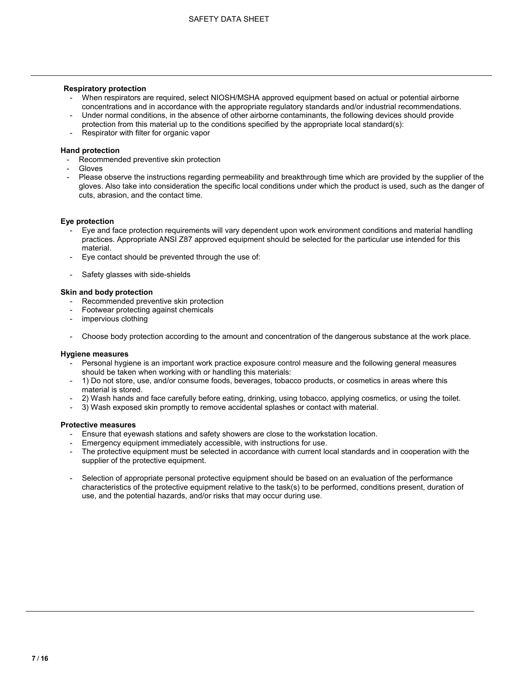#### **Respiratory protection**

- When respirators are required, select NIOSH/MSHA approved equipment based on actual or potential airborne concentrations and in accordance with the appropriate regulatory standards and/or industrial recommendations.
- Under normal conditions, in the absence of other airborne contaminants, the following devices should provide protection from this material up to the conditions specified by the appropriate local standard(s):
- Respirator with filter for organic vapor

#### **Hand protection**

- Recommended preventive skin protection
- **Gloves**
- Please observe the instructions regarding permeability and breakthrough time which are provided by the supplier of the gloves. Also take into consideration the specific local conditions under which the product is used, such as the danger of cuts, abrasion, and the contact time.

# **Eye protection**

- Eye and face protection requirements will vary dependent upon work environment conditions and material handling practices. Appropriate ANSI Z87 approved equipment should be selected for the particular use intended for this material.
- Eye contact should be prevented through the use of:
- Safety glasses with side-shields

#### **Skin and body protection**

- Recommended preventive skin protection
- Footwear protecting against chemicals
- impervious clothing
- Choose body protection according to the amount and concentration of the dangerous substance at the work place.

#### **Hygiene measures**

- Personal hygiene is an important work practice exposure control measure and the following general measures should be taken when working with or handling this materials:
- 1) Do not store, use, and/or consume foods, beverages, tobacco products, or cosmetics in areas where this material is stored.
- 2) Wash hands and face carefully before eating, drinking, using tobacco, applying cosmetics, or using the toilet.
- 3) Wash exposed skin promptly to remove accidental splashes or contact with material.

#### **Protective measures**

- Ensure that eyewash stations and safety showers are close to the workstation location.
- Emergency equipment immediately accessible, with instructions for use.
- The protective equipment must be selected in accordance with current local standards and in cooperation with the supplier of the protective equipment.
- Selection of appropriate personal protective equipment should be based on an evaluation of the performance characteristics of the protective equipment relative to the task(s) to be performed, conditions present, duration of use, and the potential hazards, and/or risks that may occur during use.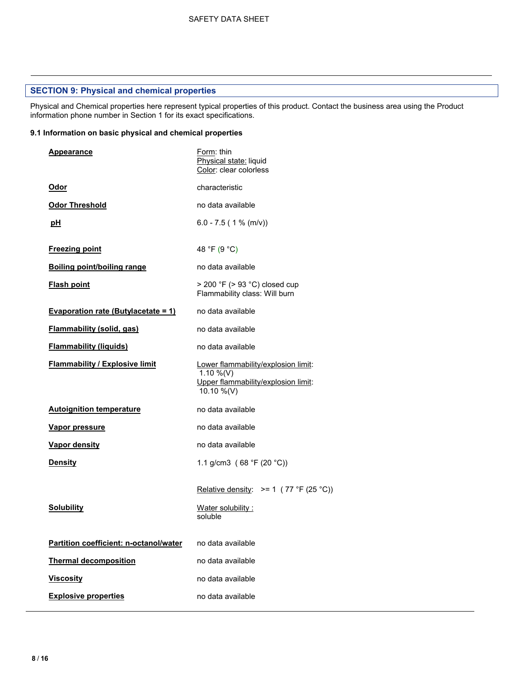# **SECTION 9: Physical and chemical properties**

Physical and Chemical properties here represent typical properties of this product. Contact the business area using the Product information phone number in Section 1 for its exact specifications.

#### **9.1 Information on basic physical and chemical properties**

| Appearance                                 | Form: thin<br>Physical state: liquid<br>Color: clear colorless                                        |
|--------------------------------------------|-------------------------------------------------------------------------------------------------------|
| Odor                                       | characteristic                                                                                        |
| <b>Odor Threshold</b>                      | no data available                                                                                     |
| рH                                         | $6.0 - 7.5$ (1 % (m/v))                                                                               |
| <b>Freezing point</b>                      | 48 °F (9 °C)                                                                                          |
| <b>Boiling point/boiling range</b>         | no data available                                                                                     |
| <b>Flash point</b>                         | $>$ 200 °F ( $>$ 93 °C) closed cup<br>Flammability class: Will burn                                   |
| <u>Evaporation rate (Butylacetate = 1)</u> | no data available                                                                                     |
| <b>Flammability (solid, gas)</b>           | no data available                                                                                     |
| <b>Flammability (liquids)</b>              | no data available                                                                                     |
| <b>Flammability / Explosive limit</b>      | Lower flammability/explosion limit:<br>1.10 %(V)<br>Upper flammability/explosion limit:<br>10.10 %(V) |
| <b>Autoignition temperature</b>            | no data available                                                                                     |
| <b>Vapor pressure</b>                      | no data available                                                                                     |
| Vapor density                              | no data available                                                                                     |
| <b>Density</b>                             | 1.1 g/cm3 (68 °F (20 °C))                                                                             |
|                                            | Relative density: $>= 1$ (77 °F (25 °C))                                                              |
| <b>Solubility</b>                          | Water solubility:<br>soluble                                                                          |
| Partition coefficient: n-octanol/water     | no data available                                                                                     |
| <b>Thermal decomposition</b>               | no data available                                                                                     |
| <b>Viscosity</b>                           | no data available                                                                                     |
| <b>Explosive properties</b>                | no data available                                                                                     |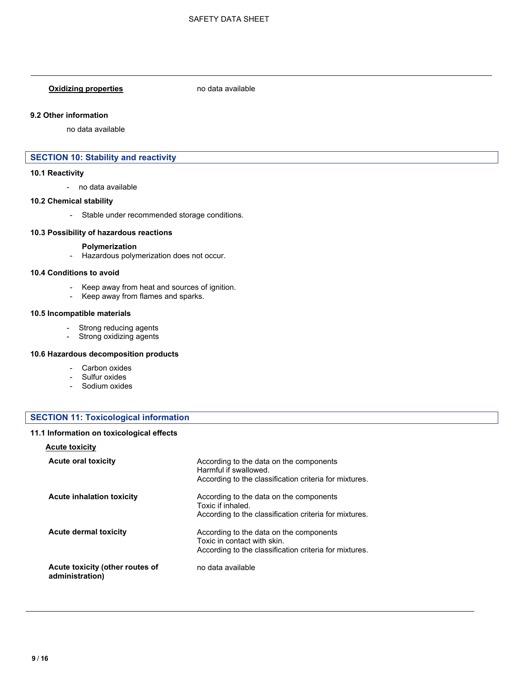# **Oxidizing properties** no data available

#### **9.2 Other information**

no data available

# **SECTION 10: Stability and reactivity**

#### **10.1 Reactivity**

- no data available

#### **10.2 Chemical stability**

- Stable under recommended storage conditions.

#### **10.3 Possibility of hazardous reactions**

#### **Polymerization**

- Hazardous polymerization does not occur.

#### **10.4 Conditions to avoid**

- Keep away from heat and sources of ignition.
- Keep away from flames and sparks.

#### **10.5 Incompatible materials**

- Strong reducing agents
- Strong oxidizing agents

#### **10.6 Hazardous decomposition products**

- Carbon oxides
- Sulfur oxides
- Sodium oxides

## **SECTION 11: Toxicological information**

#### **11.1 Information on toxicological effects**

#### **Acute toxicity**

| <b>Acute oral toxicity</b>                         | According to the data on the components<br>Harmful if swallowed.<br>According to the classification criteria for mixtures.       |
|----------------------------------------------------|----------------------------------------------------------------------------------------------------------------------------------|
| <b>Acute inhalation toxicity</b>                   | According to the data on the components<br>Toxic if inhaled.<br>According to the classification criteria for mixtures.           |
| <b>Acute dermal toxicity</b>                       | According to the data on the components<br>Toxic in contact with skin.<br>According to the classification criteria for mixtures. |
| Acute toxicity (other routes of<br>administration) | no data available                                                                                                                |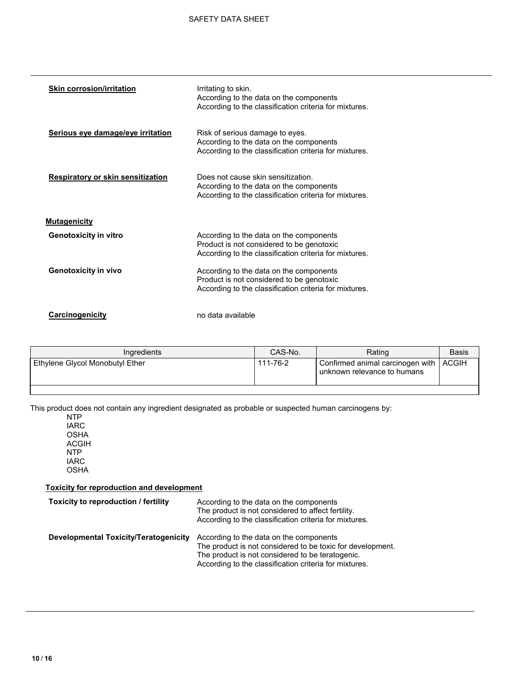| <b>Skin corrosion/irritation</b>  | Irritating to skin.<br>According to the data on the components<br>According to the classification criteria for mixtures.                       |
|-----------------------------------|------------------------------------------------------------------------------------------------------------------------------------------------|
| Serious eye damage/eye irritation | Risk of serious damage to eyes.<br>According to the data on the components<br>According to the classification criteria for mixtures.           |
| Respiratory or skin sensitization | Does not cause skin sensitization.<br>According to the data on the components<br>According to the classification criteria for mixtures.        |
| <b>Mutagenicity</b>               |                                                                                                                                                |
| <b>Genotoxicity in vitro</b>      | According to the data on the components<br>Product is not considered to be genotoxic<br>According to the classification criteria for mixtures. |
| <b>Genotoxicity in vivo</b>       | According to the data on the components<br>Product is not considered to be genotoxic<br>According to the classification criteria for mixtures. |
| Carcinogenicity                   | no data available                                                                                                                              |

| Ingredients                     | CAS-No.  | Rating                                                                  | Basis |
|---------------------------------|----------|-------------------------------------------------------------------------|-------|
| Ethylene Glycol Monobutyl Ether | 111-76-2 | Confirmed animal carcinogen with   ACGIH<br>unknown relevance to humans |       |
|                                 |          |                                                                         |       |

This product does not contain any ingredient designated as probable or suspected human carcinogens by:

NTP IARC OSHA ACGIH NTP IARC OSHA

# **Toxicity for reproduction and development**

| Toxicity to reproduction / fertility         | According to the data on the components<br>The product is not considered to affect fertility.<br>According to the classification criteria for mixtures.                                                             |
|----------------------------------------------|---------------------------------------------------------------------------------------------------------------------------------------------------------------------------------------------------------------------|
| <b>Developmental Toxicity/Teratogenicity</b> | According to the data on the components<br>The product is not considered to be toxic for development.<br>The product is not considered to be teratogenic.<br>According to the classification criteria for mixtures. |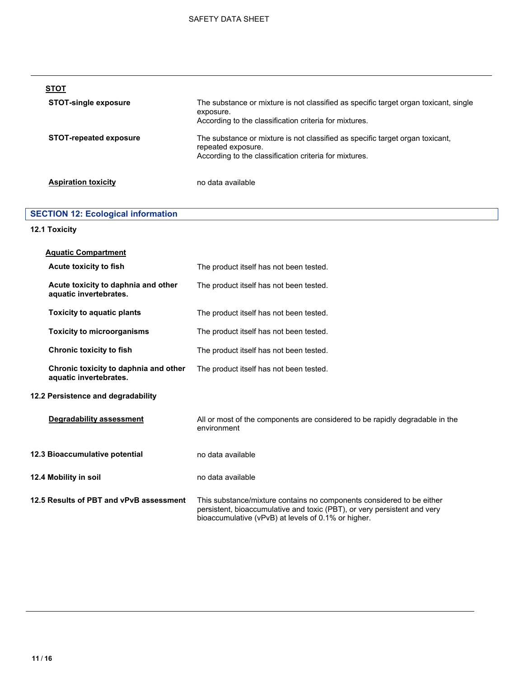| <b>STOT</b>                   |                                                                                                                                                               |
|-------------------------------|---------------------------------------------------------------------------------------------------------------------------------------------------------------|
| <b>STOT-single exposure</b>   | The substance or mixture is not classified as specific target organ toxicant, single<br>exposure.<br>According to the classification criteria for mixtures.   |
| <b>STOT-repeated exposure</b> | The substance or mixture is not classified as specific target organ toxicant,<br>repeated exposure.<br>According to the classification criteria for mixtures. |
| <b>Aspiration toxicity</b>    | no data available                                                                                                                                             |

# **SECTION 12: Ecological information**

# **12.1 Toxicity**

| <b>Aquatic Compartment</b>                                      |                                                                                                                                                                                                          |
|-----------------------------------------------------------------|----------------------------------------------------------------------------------------------------------------------------------------------------------------------------------------------------------|
| Acute toxicity to fish                                          | The product itself has not been tested.                                                                                                                                                                  |
| Acute toxicity to daphnia and other<br>aquatic invertebrates.   | The product itself has not been tested.                                                                                                                                                                  |
| <b>Toxicity to aquatic plants</b>                               | The product itself has not been tested.                                                                                                                                                                  |
| <b>Toxicity to microorganisms</b>                               | The product itself has not been tested.                                                                                                                                                                  |
| <b>Chronic toxicity to fish</b>                                 | The product itself has not been tested.                                                                                                                                                                  |
| Chronic toxicity to daphnia and other<br>aquatic invertebrates. | The product itself has not been tested.                                                                                                                                                                  |
| 12.2 Persistence and degradability                              |                                                                                                                                                                                                          |
| <b>Degradability assessment</b>                                 | All or most of the components are considered to be rapidly degradable in the<br>environment                                                                                                              |
| 12.3 Bioaccumulative potential                                  | no data available                                                                                                                                                                                        |
| 12.4 Mobility in soil                                           | no data available                                                                                                                                                                                        |
| 12.5 Results of PBT and vPvB assessment                         | This substance/mixture contains no components considered to be either<br>persistent, bioaccumulative and toxic (PBT), or very persistent and very<br>bioaccumulative (vPvB) at levels of 0.1% or higher. |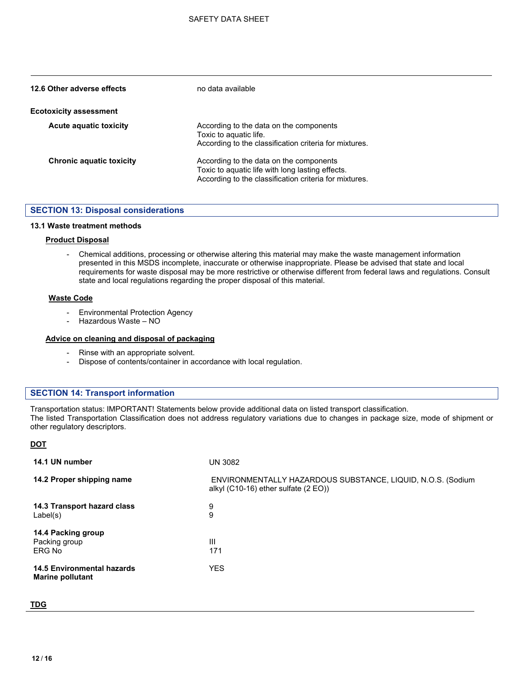| 12.6 Other adverse effects      | no data available                                                                                                                                     |
|---------------------------------|-------------------------------------------------------------------------------------------------------------------------------------------------------|
| <b>Ecotoxicity assessment</b>   |                                                                                                                                                       |
| <b>Acute aquatic toxicity</b>   | According to the data on the components<br>Toxic to aguatic life.<br>According to the classification criteria for mixtures.                           |
| <b>Chronic aquatic toxicity</b> | According to the data on the components<br>Toxic to aquatic life with long lasting effects.<br>According to the classification criteria for mixtures. |

#### **SECTION 13: Disposal considerations**

#### **13.1 Waste treatment methods**

#### **Product Disposal**

- Chemical additions, processing or otherwise altering this material may make the waste management information presented in this MSDS incomplete, inaccurate or otherwise inappropriate. Please be advised that state and local requirements for waste disposal may be more restrictive or otherwise different from federal laws and regulations. Consult state and local regulations regarding the proper disposal of this material.

#### **Waste Code**

- Environmental Protection Agency
- Hazardous Waste NO

#### **Advice on cleaning and disposal of packaging**

- Rinse with an appropriate solvent.
- Dispose of contents/container in accordance with local regulation.

#### **SECTION 14: Transport information**

Transportation status: IMPORTANT! Statements below provide additional data on listed transport classification. The listed Transportation Classification does not address regulatory variations due to changes in package size, mode of shipment or other regulatory descriptors.

#### **DOT**

| 14.1 UN number                                               | UN 3082                                                                                                        |
|--------------------------------------------------------------|----------------------------------------------------------------------------------------------------------------|
| 14.2 Proper shipping name                                    | ENVIRONMENTALLY HAZARDOUS SUBSTANCE, LIQUID, N.O.S. (Sodium<br>alkyl $(C10-16)$ ether sulfate $(2 \text{ EO})$ |
| 14.3 Transport hazard class<br>Label(s)                      | 9<br>9                                                                                                         |
| 14.4 Packing group<br>Packing group<br>ERG No                | Ш<br>171                                                                                                       |
| <b>14.5 Environmental hazards</b><br><b>Marine pollutant</b> | <b>YES</b>                                                                                                     |

#### **TDG**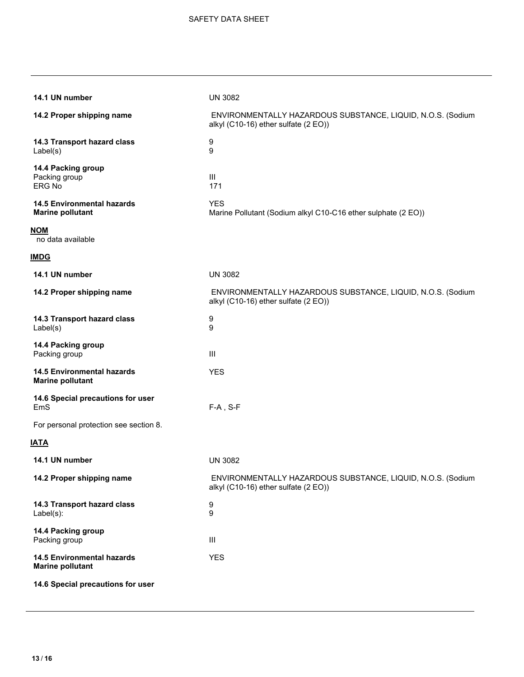| 14.1 UN number                                               | <b>UN 3082</b>                                                                                      |
|--------------------------------------------------------------|-----------------------------------------------------------------------------------------------------|
| 14.2 Proper shipping name                                    | ENVIRONMENTALLY HAZARDOUS SUBSTANCE, LIQUID, N.O.S. (Sodium<br>alkyl (C10-16) ether sulfate (2 EO)) |
| 14.3 Transport hazard class<br>Label(s)                      | 9<br>9                                                                                              |
| 14.4 Packing group<br>Packing group<br>ERG No                | III<br>171                                                                                          |
| <b>14.5 Environmental hazards</b><br><b>Marine pollutant</b> | <b>YES</b><br>Marine Pollutant (Sodium alkyl C10-C16 ether sulphate (2 EO))                         |
| <b>NOM</b><br>no data available                              |                                                                                                     |
| <u>IMDG</u>                                                  |                                                                                                     |
| 14.1 UN number                                               | <b>UN 3082</b>                                                                                      |
| 14.2 Proper shipping name                                    | ENVIRONMENTALLY HAZARDOUS SUBSTANCE, LIQUID, N.O.S. (Sodium<br>alkyl (C10-16) ether sulfate (2 EO)) |
| 14.3 Transport hazard class<br>Label(s)                      | 9<br>9                                                                                              |
| 14.4 Packing group<br>Packing group                          | III                                                                                                 |
| <b>14.5 Environmental hazards</b><br><b>Marine pollutant</b> | <b>YES</b>                                                                                          |
| 14.6 Special precautions for user<br>EmS                     | $F-A$ , S-F                                                                                         |
| For personal protection see section 8.                       |                                                                                                     |
| IATA                                                         |                                                                                                     |
| 14.1 UN number                                               | <b>UN 3082</b>                                                                                      |
| 14.2 Proper shipping name                                    | ENVIRONMENTALLY HAZARDOUS SUBSTANCE, LIQUID, N.O.S. (Sodium<br>alkyl (C10-16) ether sulfate (2 EO)) |
| 14.3 Transport hazard class<br>$Label(s)$ :                  | 9<br>9                                                                                              |
| 14.4 Packing group<br>Packing group                          | Ш                                                                                                   |
| <b>14.5 Environmental hazards</b><br><b>Marine pollutant</b> | <b>YES</b>                                                                                          |
| 14.6 Special precautions for user                            |                                                                                                     |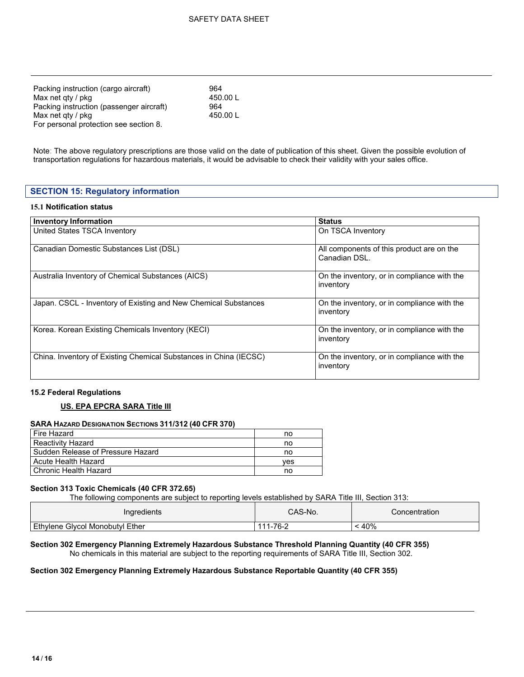| Packing instruction (cargo aircraft)     | 964      |
|------------------------------------------|----------|
| Max net gty / pkg                        | 450.00 L |
| Packing instruction (passenger aircraft) | 964      |
| Max net gty / pkg                        | 450.00 L |
| For personal protection see section 8.   |          |

Note: The above regulatory prescriptions are those valid on the date of publication of this sheet. Given the possible evolution of transportation regulations for hazardous materials, it would be advisable to check their validity with your sales office.

## **SECTION 15: Regulatory information**

#### **15.1 Notification status**

| <b>Inventory Information</b>                                      | <b>Status</b>                                              |
|-------------------------------------------------------------------|------------------------------------------------------------|
| United States TSCA Inventory                                      | On TSCA Inventory                                          |
| Canadian Domestic Substances List (DSL)                           | All components of this product are on the<br>Canadian DSL. |
| Australia Inventory of Chemical Substances (AICS)                 | On the inventory, or in compliance with the<br>inventory   |
| Japan. CSCL - Inventory of Existing and New Chemical Substances   | On the inventory, or in compliance with the<br>inventory   |
| Korea. Korean Existing Chemicals Inventory (KECI)                 | On the inventory, or in compliance with the<br>inventory   |
| China. Inventory of Existing Chemical Substances in China (IECSC) | On the inventory, or in compliance with the<br>inventory   |

#### **15.2 Federal Regulations**

#### **US. EPA EPCRA SARA Title III**

#### **SARA HAZARD DESIGNATION SECTIONS 311/312 (40 CFR 370)**

| Fire Hazard                       | no  |
|-----------------------------------|-----|
| <b>Reactivity Hazard</b>          | no  |
| Sudden Release of Pressure Hazard | no  |
| Acute Health Hazard               | ves |
| l Chronic Health Hazard           | no  |

#### **Section 313 Toxic Chemicals (40 CFR 372.65)**

The following components are subject to reporting levels established by SARA Title III, Section 313:

| Ingredients                               | CAS-No.  | Concentration |
|-------------------------------------------|----------|---------------|
| Ethylene<br><b>Givcol Monobutyl Ether</b> | 111-76-2 | 40%           |

# **Section 302 Emergency Planning Extremely Hazardous Substance Threshold Planning Quantity (40 CFR 355)**

No chemicals in this material are subject to the reporting requirements of SARA Title III, Section 302.

#### **Section 302 Emergency Planning Extremely Hazardous Substance Reportable Quantity (40 CFR 355)**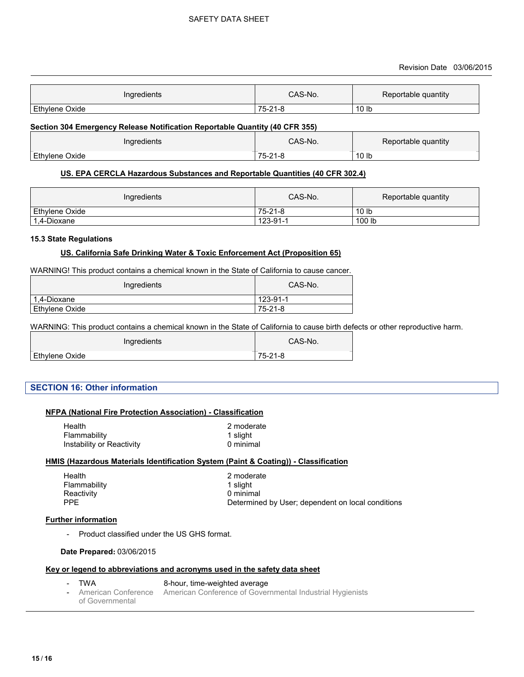| Ingredients    | CAS-No.                   | Reportable quantity |
|----------------|---------------------------|---------------------|
| Ethylene Oxide | $75 - 2$<br>ິ<br>ം<br>1-c | 10 <sub>lb</sub>    |

#### **Section 304 Emergency Release Notification Reportable Quantity (40 CFR 355)**

| Ingredients    | CAS-No.                                   | Reportable quantity |
|----------------|-------------------------------------------|---------------------|
| Ethylene Oxide | $^{\circ}$ 0.4 $^{\circ}$<br>75-2<br>$-c$ | 10 lb               |

#### **US. EPA CERCLA Hazardous Substances and Reportable Quantities (40 CFR 302.4)**

| Ingredients    | CAS-No.  | Reportable quantity |
|----------------|----------|---------------------|
| Ethylene Oxide | 75-21-8  | 10 lb               |
| 1,4-Dioxane    | 123-91-1 | 100 lb              |

#### **15.3 State Regulations**

#### **US. California Safe Drinking Water & Toxic Enforcement Act (Proposition 65)**

WARNING! This product contains a chemical known in the State of California to cause cancer.

| Ingredients    | CAS-No.  |
|----------------|----------|
| 1.4-Dioxane    | 123-91-1 |
| Ethylene Oxide | 75-21-8  |

WARNING: This product contains a chemical known in the State of California to cause birth defects or other reproductive harm.

| Ingredients    | CAS-No.       |
|----------------|---------------|
| Ethylene Oxide | $75 - 21 - 8$ |

# **SECTION 16: Other information**

#### **NFPA (National Fire Protection Association) - Classification**

| Health                    | 2 moderate |
|---------------------------|------------|
| Flammability              | 1 slight   |
| Instability or Reactivity | 0 minimal  |

#### **HMIS (Hazardous Materials Identification System (Paint & Coating)) - Classification**

| Determined by User; dependent on local conditions |
|---------------------------------------------------|
|                                                   |

#### **Further information**

- Product classified under the US GHS format.

#### **Date Prepared:** 03/06/2015

#### **Key or legend to abbreviations and acronyms used in the safety data sheet**

- TWA 8-hour, time-weighted average - American Conference of Governmental American Conference of Governmental Industrial Hygienists